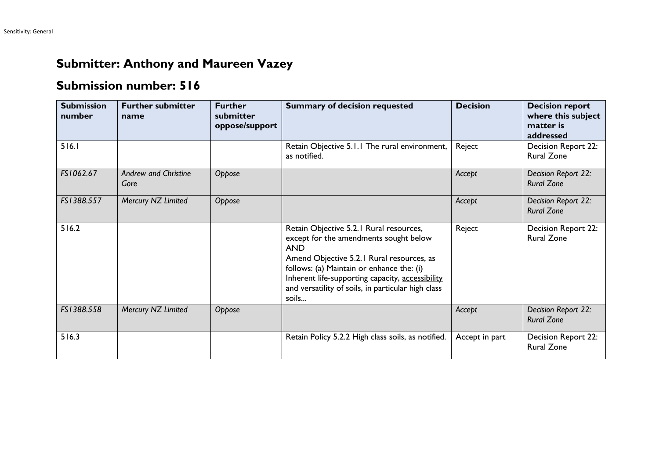## **Submitter: Anthony and Maureen Vazey**

## **Submission number: 516**

| <b>Submission</b><br>number | <b>Further submitter</b><br>name    | <b>Further</b><br>submitter<br>oppose/support | <b>Summary of decision requested</b>                                                                                                                                                                                                                                                                         | <b>Decision</b> | <b>Decision report</b><br>where this subject<br>matter is<br>addressed |
|-----------------------------|-------------------------------------|-----------------------------------------------|--------------------------------------------------------------------------------------------------------------------------------------------------------------------------------------------------------------------------------------------------------------------------------------------------------------|-----------------|------------------------------------------------------------------------|
| 516.1                       |                                     |                                               | Retain Objective 5.1.1 The rural environment,<br>as notified.                                                                                                                                                                                                                                                | Reject          | Decision Report 22:<br><b>Rural Zone</b>                               |
| FS1062.67                   | <b>Andrew and Christine</b><br>Gore | Oppose                                        |                                                                                                                                                                                                                                                                                                              | Accept          | Decision Report 22:<br><b>Rural Zone</b>                               |
| FS1388.557                  | Mercury NZ Limited                  | Oppose                                        |                                                                                                                                                                                                                                                                                                              | Accept          | Decision Report 22:<br><b>Rural Zone</b>                               |
| 516.2                       |                                     |                                               | Retain Objective 5.2.1 Rural resources,<br>except for the amendments sought below<br><b>AND</b><br>Amend Objective 5.2.1 Rural resources, as<br>follows: (a) Maintain or enhance the: (i)<br>Inherent life-supporting capacity, accessibility<br>and versatility of soils, in particular high class<br>soils | Reject          | Decision Report 22:<br><b>Rural Zone</b>                               |
| FS1388.558                  | Mercury NZ Limited                  | Oppose                                        |                                                                                                                                                                                                                                                                                                              | Accept          | Decision Report 22:<br><b>Rural Zone</b>                               |
| 516.3                       |                                     |                                               | Retain Policy 5.2.2 High class soils, as notified.                                                                                                                                                                                                                                                           | Accept in part  | Decision Report 22:<br><b>Rural Zone</b>                               |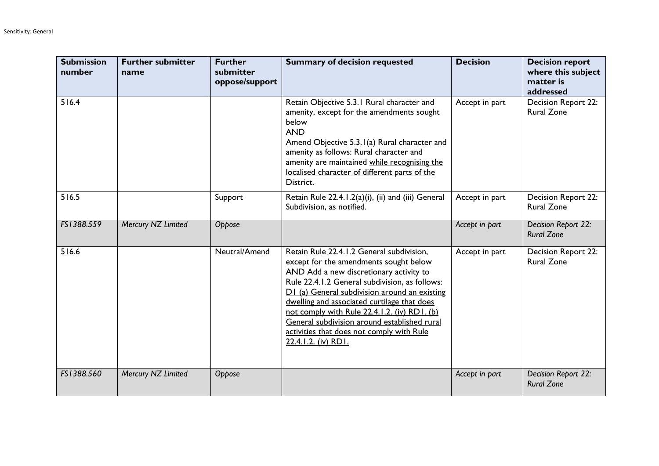| <b>Submission</b><br>number | <b>Further submitter</b><br>name | <b>Further</b><br>submitter<br>oppose/support | <b>Summary of decision requested</b>                                                                                                                                                                                                                                                                                                                                                                                                                 | <b>Decision</b> | <b>Decision report</b><br>where this subject<br>matter is<br>addressed |
|-----------------------------|----------------------------------|-----------------------------------------------|------------------------------------------------------------------------------------------------------------------------------------------------------------------------------------------------------------------------------------------------------------------------------------------------------------------------------------------------------------------------------------------------------------------------------------------------------|-----------------|------------------------------------------------------------------------|
| 516.4                       |                                  |                                               | Retain Objective 5.3.1 Rural character and<br>amenity, except for the amendments sought<br>below<br><b>AND</b><br>Amend Objective 5.3.1(a) Rural character and<br>amenity as follows: Rural character and<br>amenity are maintained while recognising the<br>localised character of different parts of the<br>District.                                                                                                                              | Accept in part  | Decision Report 22:<br><b>Rural Zone</b>                               |
| 516.5                       |                                  | Support                                       | Retain Rule 22.4.1.2(a)(i), (ii) and (iii) General<br>Subdivision, as notified.                                                                                                                                                                                                                                                                                                                                                                      | Accept in part  | Decision Report 22:<br><b>Rural Zone</b>                               |
| FS1388.559                  | Mercury NZ Limited               | Oppose                                        |                                                                                                                                                                                                                                                                                                                                                                                                                                                      | Accept in part  | Decision Report 22:<br><b>Rural Zone</b>                               |
| 516.6                       |                                  | Neutral/Amend                                 | Retain Rule 22.4.1.2 General subdivision,<br>except for the amendments sought below<br>AND Add a new discretionary activity to<br>Rule 22.4.1.2 General subdivision, as follows:<br>D1 (a) General subdivision around an existing<br>dwelling and associated curtilage that does<br>not comply with Rule 22.4.1.2. (iv) RD1. (b)<br>General subdivision around established rural<br>activities that does not comply with Rule<br>22.4.1.2. (iv) RD1. | Accept in part  | <b>Decision Report 22:</b><br><b>Rural Zone</b>                        |
| FS1388.560                  | Mercury NZ Limited               | Oppose                                        |                                                                                                                                                                                                                                                                                                                                                                                                                                                      | Accept in part  | Decision Report 22:<br><b>Rural Zone</b>                               |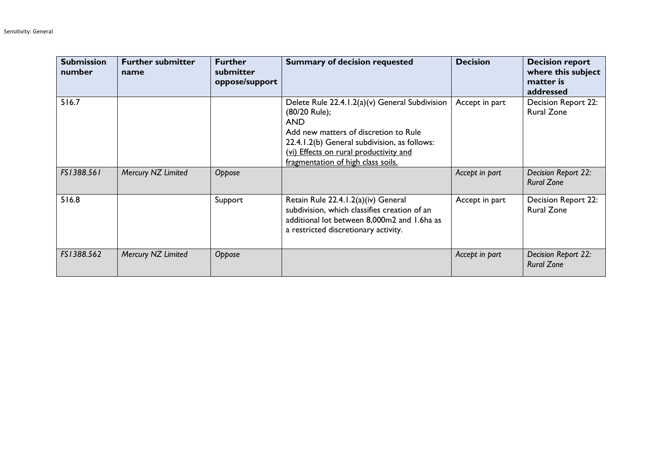| <b>Submission</b><br>number | <b>Further submitter</b><br>name | <b>Further</b><br>submitter<br>oppose/support | <b>Summary of decision requested</b>                                                                                                                                                                                                                   | <b>Decision</b> | <b>Decision report</b><br>where this subject<br>matter is<br>addressed |
|-----------------------------|----------------------------------|-----------------------------------------------|--------------------------------------------------------------------------------------------------------------------------------------------------------------------------------------------------------------------------------------------------------|-----------------|------------------------------------------------------------------------|
| 516.7                       |                                  |                                               | Delete Rule 22.4.1.2(a)(v) General Subdivision<br>(80/20 Rule);<br><b>AND</b><br>Add new matters of discretion to Rule<br>22.4.1.2(b) General subdivision, as follows:<br>(vi) Effects on rural productivity and<br>fragmentation of high class soils. | Accept in part  | <b>Decision Report 22:</b><br><b>Rural Zone</b>                        |
| FS1388.561                  | Mercury NZ Limited               | Oppose                                        |                                                                                                                                                                                                                                                        | Accept in part  | Decision Report 22:<br><b>Rural Zone</b>                               |
| 516.8                       |                                  | Support                                       | Retain Rule 22.4.1.2(a)(iv) General<br>subdivision, which classifies creation of an<br>additional lot between 8,000m2 and 1.6ha as<br>a restricted discretionary activity.                                                                             | Accept in part  | <b>Decision Report 22:</b><br><b>Rural Zone</b>                        |
| FS1388.562                  | Mercury NZ Limited               | Oppose                                        |                                                                                                                                                                                                                                                        | Accept in part  | Decision Report 22:<br><b>Rural Zone</b>                               |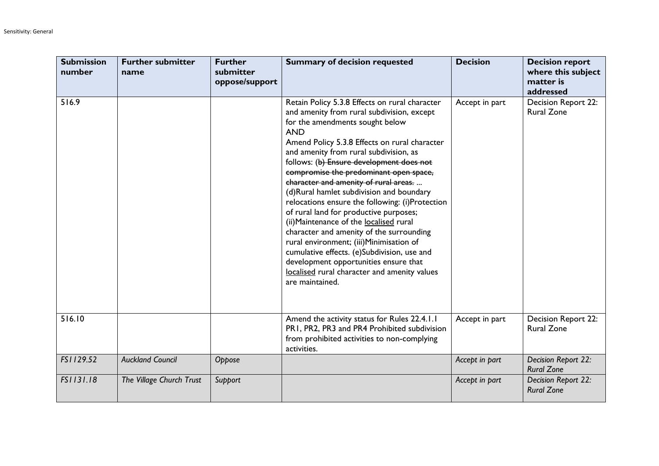| <b>Submission</b><br>number | <b>Further submitter</b><br>name | <b>Further</b><br>submitter<br>oppose/support | <b>Summary of decision requested</b>                                                                                                                                                                                                                                                                                                                                                                                                                                                                                                                                                                                                                                                                                                                                                                          | <b>Decision</b> | <b>Decision report</b><br>where this subject<br>matter is<br>addressed |
|-----------------------------|----------------------------------|-----------------------------------------------|---------------------------------------------------------------------------------------------------------------------------------------------------------------------------------------------------------------------------------------------------------------------------------------------------------------------------------------------------------------------------------------------------------------------------------------------------------------------------------------------------------------------------------------------------------------------------------------------------------------------------------------------------------------------------------------------------------------------------------------------------------------------------------------------------------------|-----------------|------------------------------------------------------------------------|
| 516.9                       |                                  |                                               | Retain Policy 5.3.8 Effects on rural character<br>and amenity from rural subdivision, except<br>for the amendments sought below<br><b>AND</b><br>Amend Policy 5.3.8 Effects on rural character<br>and amenity from rural subdivision, as<br>follows: (b) Ensure development does not<br>compromise the predominant open space,<br>character and amenity of rural areas.<br>(d)Rural hamlet subdivision and boundary<br>relocations ensure the following: (i)Protection<br>of rural land for productive purposes;<br>(ii) Maintenance of the localised rural<br>character and amenity of the surrounding<br>rural environment; (iii)Minimisation of<br>cumulative effects. (e)Subdivision, use and<br>development opportunities ensure that<br>localised rural character and amenity values<br>are maintained. | Accept in part  | <b>Decision Report 22:</b><br><b>Rural Zone</b>                        |
| 516.10                      |                                  |                                               | Amend the activity status for Rules 22.4.1.1<br>PR1, PR2, PR3 and PR4 Prohibited subdivision<br>from prohibited activities to non-complying<br>activities.                                                                                                                                                                                                                                                                                                                                                                                                                                                                                                                                                                                                                                                    | Accept in part  | Decision Report 22:<br><b>Rural Zone</b>                               |
| FS1129.52                   | <b>Auckland Council</b>          | Oppose                                        |                                                                                                                                                                                                                                                                                                                                                                                                                                                                                                                                                                                                                                                                                                                                                                                                               | Accept in part  | Decision Report 22:<br><b>Rural Zone</b>                               |
| FS1131.18                   | The Village Church Trust         | Support                                       |                                                                                                                                                                                                                                                                                                                                                                                                                                                                                                                                                                                                                                                                                                                                                                                                               | Accept in part  | Decision Report 22:<br><b>Rural Zone</b>                               |